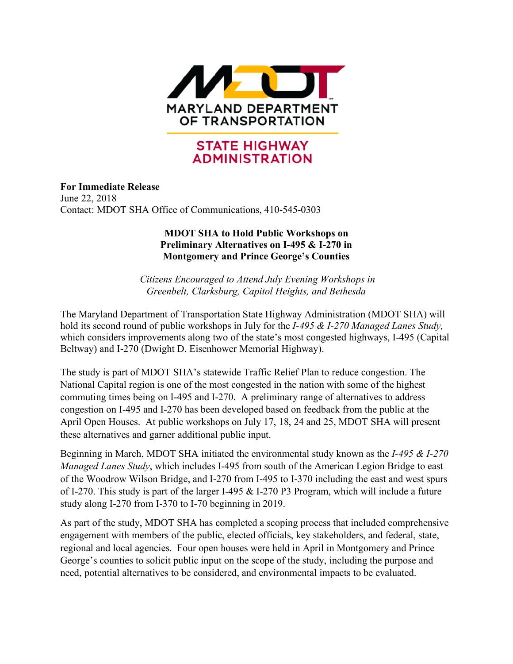

# **STATE HIGHWAY ADMINISTRATION**

**For Immediate Release** June 22, 2018 Contact: MDOT SHA Office of Communications, 410-545-0303

## **MDOT SHA to Hold Public Workshops on Preliminary Alternatives on I-495 & I-270 in Montgomery and Prince George's Counties**

*Citizens Encouraged to Attend July Evening Workshops in Greenbelt, Clarksburg, Capitol Heights, and Bethesda* 

The Maryland Department of Transportation State Highway Administration (MDOT SHA) will hold its second round of public workshops in July for the *I-495 & I-270 Managed Lanes Study,* which considers improvements along two of the state's most congested highways, I-495 (Capital Beltway) and I-270 (Dwight D. Eisenhower Memorial Highway).

The study is part of MDOT SHA's statewide Traffic Relief Plan to reduce congestion. The National Capital region is one of the most congested in the nation with some of the highest commuting times being on I-495 and I-270. A preliminary range of alternatives to address congestion on I-495 and I-270 has been developed based on feedback from the public at the April Open Houses. At public workshops on July 17, 18, 24 and 25, MDOT SHA will present these alternatives and garner additional public input.

Beginning in March, MDOT SHA initiated the environmental study known as the *I-495 & I-270 Managed Lanes Study*, which includes I-495 from south of the American Legion Bridge to east of the Woodrow Wilson Bridge, and I-270 from I-495 to I-370 including the east and west spurs of I-270. This study is part of the larger I-495 & I-270 P3 Program, which will include a future study along I-270 from I-370 to I-70 beginning in 2019.

As part of the study, MDOT SHA has completed a scoping process that included comprehensive engagement with members of the public, elected officials, key stakeholders, and federal, state, regional and local agencies. Four open houses were held in April in Montgomery and Prince George's counties to solicit public input on the scope of the study, including the purpose and need, potential alternatives to be considered, and environmental impacts to be evaluated.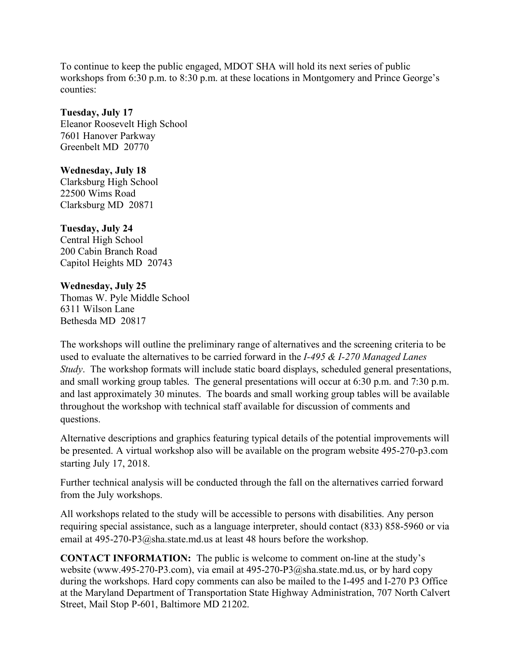To continue to keep the public engaged, MDOT SHA will hold its next series of public workshops from 6:30 p.m. to 8:30 p.m. at these locations in Montgomery and Prince George's counties:

## **Tuesday, July 17**

Eleanor Roosevelt High School 7601 Hanover Parkway Greenbelt MD 20770

## **Wednesday, July 18**

Clarksburg High School 22500 Wims Road Clarksburg MD 20871

## **Tuesday, July 24**

Central High School 200 Cabin Branch Road Capitol Heights MD 20743

## **Wednesday, July 25**

Thomas W. Pyle Middle School 6311 Wilson Lane Bethesda MD 20817

The workshops will outline the preliminary range of alternatives and the screening criteria to be used to evaluate the alternatives to be carried forward in the *I-495 & I-270 Managed Lanes Study*. The workshop formats will include static board displays, scheduled general presentations, and small working group tables. The general presentations will occur at 6:30 p.m. and 7:30 p.m. and last approximately 30 minutes. The boards and small working group tables will be available throughout the workshop with technical staff available for discussion of comments and questions.

Alternative descriptions and graphics featuring typical details of the potential improvements will be presented. A virtual workshop also will be available on the program website 495-270-p3.com starting July 17, 2018.

Further technical analysis will be conducted through the fall on the alternatives carried forward from the July workshops.

All workshops related to the study will be accessible to persons with disabilities. Any person requiring special assistance, such as a language interpreter, should contact (833) 858-5960 or via email at 495-270-P3@sha.state.md.us at least 48 hours before the workshop.

**CONTACT INFORMATION:** The public is welcome to comment on-line at the study's website (www.495-270-P3.com), via email at 495-270-P3@sha.state.md.us, or by hard copy during the workshops. Hard copy comments can also be mailed to the I-495 and I-270 P3 Office at the Maryland Department of Transportation State Highway Administration, 707 North Calvert Street, Mail Stop P-601, Baltimore MD 21202.